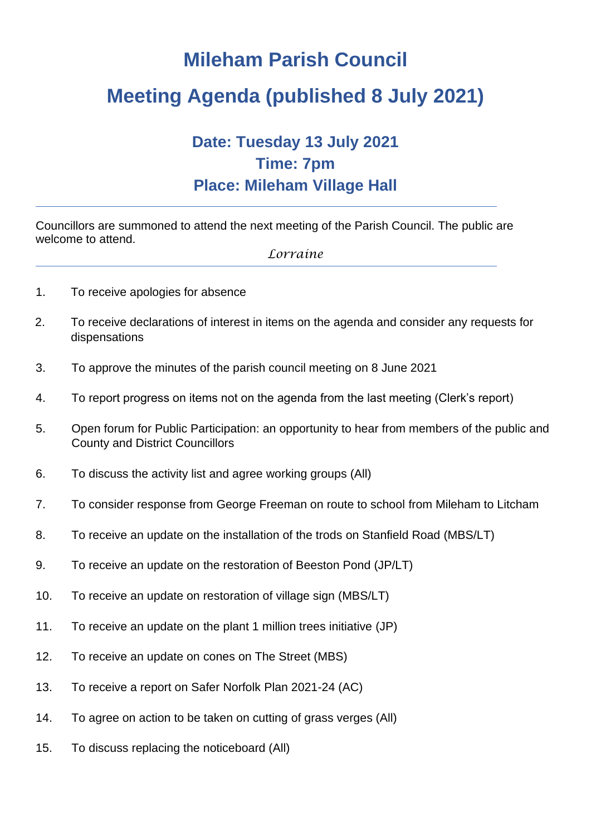# **Mileham Parish Council**

# **Meeting Agenda (published 8 July 2021)**

## **Date: Tuesday 13 July 2021 Time: 7pm Place: Mileham Village Hall**

Councillors are summoned to attend the next meeting of the Parish Council. The public are welcome to attend.

#### *Lorraine*

- 1. To receive apologies for absence
- 2. To receive declarations of interest in items on the agenda and consider any requests for dispensations
- 3. To approve the minutes of the parish council meeting on 8 June 2021
- 4. To report progress on items not on the agenda from the last meeting (Clerk's report)
- 5. Open forum for Public Participation: an opportunity to hear from members of the public and County and District Councillors
- 6. To discuss the activity list and agree working groups (All)
- 7. To consider response from George Freeman on route to school from Mileham to Litcham
- 8. To receive an update on the installation of the trods on Stanfield Road (MBS/LT)
- 9. To receive an update on the restoration of Beeston Pond (JP/LT)
- 10. To receive an update on restoration of village sign (MBS/LT)
- 11. To receive an update on the plant 1 million trees initiative (JP)
- 12. To receive an update on cones on The Street (MBS)
- 13. To receive a report on Safer Norfolk Plan 2021-24 (AC)
- 14. To agree on action to be taken on cutting of grass verges (All)
- 15. To discuss replacing the noticeboard (All)